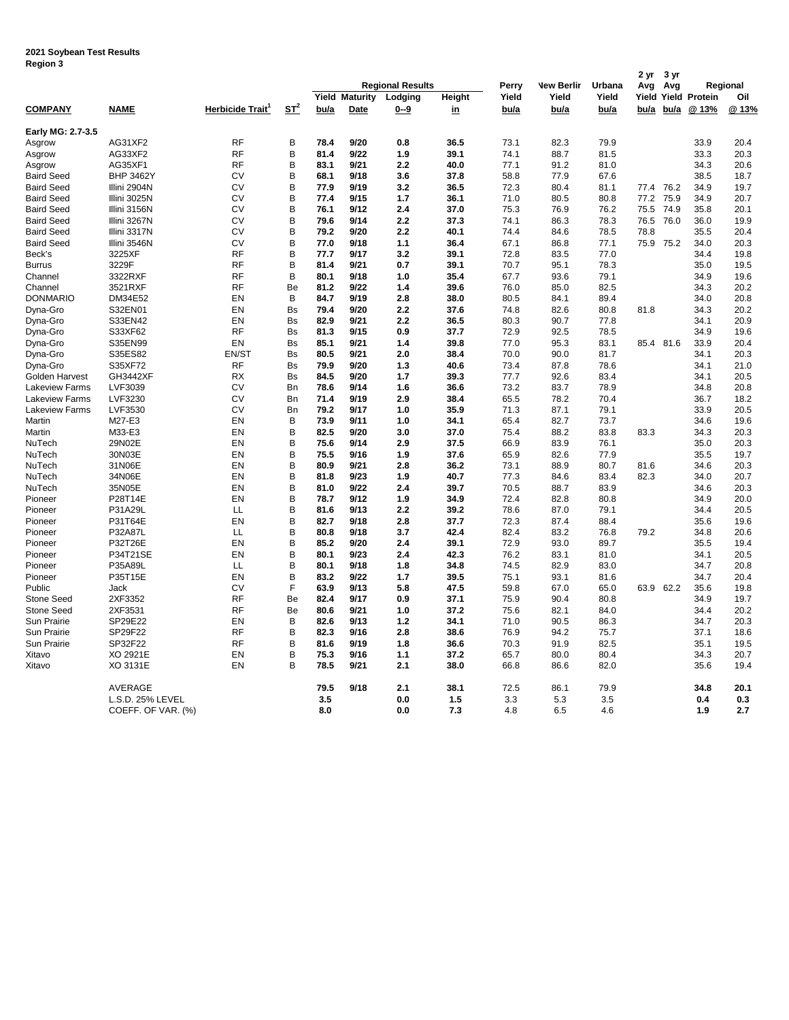## **2021 Soybean Test Results Region 3**

| negron o                    |                    |                              |           |      |                               | <b>Regional Results</b> |                     |               |                   |               | 2 yr          | 3 yr      |                               |             |
|-----------------------------|--------------------|------------------------------|-----------|------|-------------------------------|-------------------------|---------------------|---------------|-------------------|---------------|---------------|-----------|-------------------------------|-------------|
|                             |                    |                              |           |      |                               |                         |                     | Perry         | <b>New Berlir</b> | Urbana        | Avg           | Avg       |                               | Regional    |
| <b>COMPANY</b>              | NAME               | Herbicide Trait <sup>1</sup> | $ST^2$    | bu/a | <b>Yield Maturity</b><br>Date | Lodging<br>$0 - 9$      | Height<br><u>in</u> | Yield<br>bu/a | Yield<br>bu/a     | Yield<br>bu/a | Yield<br>bu/a | bu/a      | <b>Yield Protein</b><br>@ 13% | Oil<br>@13% |
|                             |                    |                              |           |      |                               |                         |                     |               |                   |               |               |           |                               |             |
| Early MG: 2.7-3.5<br>Asgrow | AG31XF2            | <b>RF</b>                    | B         | 78.4 | 9/20                          | 0.8                     | 36.5                | 73.1          | 82.3              | 79.9          |               |           | 33.9                          | 20.4        |
| Asgrow                      | AG33XF2            | <b>RF</b>                    | B         | 81.4 | 9/22                          | 1.9                     | 39.1                | 74.1          | 88.7              | 81.5          |               |           | 33.3                          | 20.3        |
| Asgrow                      | AG35XF1            | <b>RF</b>                    | B         | 83.1 | 9/21                          | 2.2                     | 40.0                | 77.1          | 91.2              | 81.0          |               |           | 34.3                          | 20.6        |
| <b>Baird Seed</b>           | <b>BHP 3462Y</b>   | CV                           | B         | 68.1 | 9/18                          | 3.6                     | 37.8                | 58.8          | 77.9              | 67.6          |               |           | 38.5                          | 18.7        |
| <b>Baird Seed</b>           | Illini 2904N       | CV                           | B         | 77.9 | 9/19                          | 3.2                     | 36.5                | 72.3          | 80.4              | 81.1          |               | 77.4 76.2 | 34.9                          | 19.7        |
| <b>Baird Seed</b>           | Illini 3025N       | CV                           | B         | 77.4 | 9/15                          | 1.7                     | 36.1                | 71.0          | 80.5              | 80.8          | 77.2          | 75.9      | 34.9                          | 20.7        |
| <b>Baird Seed</b>           | Illini 3156N       | CV                           | B         | 76.1 | 9/12                          | 2.4                     | 37.0                | 75.3          | 76.9              | 76.2          | 75.5          | 74.9      | 35.8                          | 20.1        |
| <b>Baird Seed</b>           | Illini 3267N       | CV                           | B         | 79.6 | 9/14                          | 2.2                     | 37.3                | 74.1          | 86.3              | 78.3          | 76.5          | 76.0      | 36.0                          | 19.9        |
| <b>Baird Seed</b>           | Illini 3317N       | CV                           | B         | 79.2 | 9/20                          | 2.2                     | 40.1                | 74.4          | 84.6              | 78.5          | 78.8          |           | 35.5                          | 20.4        |
| <b>Baird Seed</b>           | Illini 3546N       | CV                           | B         | 77.0 | 9/18                          | 1.1                     | 36.4                | 67.1          | 86.8              | 77.1          | 75.9          | 75.2      | 34.0                          | 20.3        |
| Beck's                      | 3225XF             | <b>RF</b>                    | B         | 77.7 | 9/17                          | 3.2                     | 39.1                | 72.8          | 83.5              | 77.0          |               |           | 34.4                          | 19.8        |
| <b>Burrus</b>               | 3229F              | <b>RF</b>                    | B         | 81.4 | 9/21                          | 0.7                     | 39.1                | 70.7          | 95.1              | 78.3          |               |           | 35.0                          | 19.5        |
| Channel                     | 3322RXF            | <b>RF</b>                    | B         | 80.1 | 9/18                          | 1.0                     | 35.4                | 67.7          | 93.6              | 79.1          |               |           | 34.9                          | 19.6        |
| Channel                     | 3521RXF            | <b>RF</b>                    | Be        | 81.2 | 9/22                          | 1.4                     | 39.6                | 76.0          | 85.0              | 82.5          |               |           | 34.3                          | 20.2        |
| <b>DONMARIO</b>             | DM34E52            | EN                           | B         | 84.7 | 9/19                          | 2.8                     | 38.0                | 80.5          | 84.1              | 89.4          |               |           | 34.0                          | 20.8        |
| Dyna-Gro                    | S32EN01            | EN                           | <b>Bs</b> | 79.4 | 9/20                          | 2.2                     | 37.6                | 74.8          | 82.6              | 80.8          | 81.8          |           | 34.3                          | 20.2        |
| Dyna-Gro                    | S33EN42            | EN                           | <b>Bs</b> | 82.9 | 9/21                          | 2.2                     | 36.5                | 80.3          | 90.7              | 77.8          |               |           | 34.1                          | 20.9        |
| Dyna-Gro                    | S33XF62            | <b>RF</b>                    | <b>Bs</b> | 81.3 | 9/15                          | 0.9                     | 37.7                | 72.9          | 92.5              | 78.5          |               |           | 34.9                          | 19.6        |
| Dyna-Gro                    | S35EN99            | EN                           | Bs        | 85.1 | 9/21                          | 1.4                     | 39.8                | 77.0          | 95.3              | 83.1          |               | 85.4 81.6 | 33.9                          | 20.4        |
| Dyna-Gro                    | S35ES82            | EN/ST                        | <b>Bs</b> | 80.5 | 9/21                          | 2.0                     | 38.4                | 70.0          | 90.0              | 81.7          |               |           | 34.1                          | 20.3        |
| Dyna-Gro                    | S35XF72            | <b>RF</b>                    | <b>Bs</b> | 79.9 | 9/20                          | 1.3                     | 40.6                | 73.4          | 87.8              | 78.6          |               |           | 34.1                          | 21.0        |
| Golden Harvest              | <b>GH3442XF</b>    | <b>RX</b>                    | <b>Bs</b> | 84.5 | 9/20                          | 1.7                     | 39.3                | 77.7          | 92.6              | 83.4          |               |           | 34.1                          | 20.5        |
| <b>Lakeview Farms</b>       | LVF3039            | CV                           | <b>Bn</b> | 78.6 | 9/14                          | 1.6                     | 36.6                | 73.2          | 83.7              | 78.9          |               |           | 34.8                          | 20.8        |
| <b>Lakeview Farms</b>       | LVF3230            | CV                           | <b>Bn</b> | 71.4 | 9/19                          | 2.9                     | 38.4                | 65.5          | 78.2              | 70.4          |               |           | 36.7                          | 18.2        |
| <b>Lakeview Farms</b>       | LVF3530            | CV                           | <b>Bn</b> | 79.2 | 9/17                          | 1.0                     | 35.9                | 71.3          | 87.1              | 79.1          |               |           | 33.9                          | 20.5        |
| Martin                      | M27-E3             | EN                           | B         | 73.9 | 9/11                          | 1.0                     | 34.1                | 65.4          | 82.7              | 73.7          |               |           | 34.6                          | 19.6        |
| Martin                      | M33-E3             | EN                           | B         | 82.5 | 9/20                          | 3.0                     | 37.0                | 75.4          | 88.2              | 83.8          | 83.3          |           | 34.3                          | 20.3        |
| NuTech                      | 29N02E             | EN                           | B         | 75.6 | 9/14                          | 2.9                     | 37.5                | 66.9          | 83.9              | 76.1          |               |           | 35.0                          | 20.3        |
| NuTech                      | 30N03E             | EN                           | B         | 75.5 | 9/16                          | 1.9                     | 37.6                | 65.9          | 82.6              | 77.9          |               |           | 35.5                          | 19.7        |
| NuTech                      | 31N06E             | EN                           | B         | 80.9 | 9/21                          | 2.8                     | 36.2                | 73.1          | 88.9              | 80.7          | 81.6          |           | 34.6                          | 20.3        |
| NuTech                      | 34N06E             | EN                           | B         | 81.8 | 9/23                          | 1.9                     | 40.7                | 77.3          | 84.6              | 83.4          | 82.3          |           | 34.0                          | 20.7        |
| NuTech                      | 35N05E             | EN                           | B         | 81.0 | 9/22                          | 2.4                     | 39.7                | 70.5          | 88.7              | 83.9          |               |           | 34.6                          | 20.3        |
| Pioneer                     | P28T14E            | EN                           | B         | 78.7 | 9/12                          | 1.9                     | 34.9                | 72.4          | 82.8              | 80.8          |               |           | 34.9                          | 20.0        |
| Pioneer                     | P31A29L            | LL                           | B         | 81.6 | 9/13                          | 2.2                     | 39.2                | 78.6          | 87.0              | 79.1          |               |           | 34.4                          | 20.5        |
| Pioneer                     | P31T64E            | EN                           | B         | 82.7 | 9/18                          | 2.8                     | 37.7                | 72.3          | 87.4              | 88.4          |               |           | 35.6                          | 19.6        |
| Pioneer                     | P32A87L            | LL                           | B         | 80.8 | 9/18                          | 3.7                     | 42.4                | 82.4          | 83.2              | 76.8          | 79.2          |           | 34.8                          | 20.6        |
| Pioneer                     | P32T26E            | EN                           | B         | 85.2 | 9/20                          | 2.4                     | 39.1                | 72.9          | 93.0              | 89.7          |               |           | 35.5                          | 19.4        |
| Pioneer                     | P34T21SE           | EN                           | B         | 80.1 | 9/23                          | 2.4                     | 42.3                | 76.2          | 83.1              | 81.0          |               |           | 34.1                          | 20.5        |
| Pioneer                     | P35A89L            | LL                           | B         | 80.1 | 9/18                          | 1.8                     | 34.8                | 74.5          | 82.9              | 83.0          |               |           | 34.7                          | 20.8        |
| Pioneer                     | P35T15E            | EN                           | B         | 83.2 | 9/22                          | 1.7                     | 39.5                | 75.1          | 93.1              | 81.6          |               |           | 34.7                          | 20.4        |
| Public                      | Jack               | CV                           | F         | 63.9 | 9/13                          | 5.8                     | 47.5                | 59.8          | 67.0              | 65.0          |               | 63.9 62.2 | 35.6                          | 19.8        |
| <b>Stone Seed</b>           | 2XF3352            | <b>RF</b>                    | Be        | 82.4 | 9/17                          | 0.9                     | 37.1                | 75.9          | 90.4              | 80.8          |               |           | 34.9                          | 19.7        |
| Stone Seed                  | 2XF3531            | <b>RF</b>                    | Be        | 80.6 | 9/21                          | 1.0                     | 37.2                | 75.6          | 82.1              | 84.0          |               |           | 34.4                          | 20.2        |
| Sun Prairie                 | SP29E22            | EN                           | B         | 82.6 | 9/13                          | 1.2                     | 34.1                | 71.0          | 90.5              | 86.3          |               |           | 34.7                          | 20.3        |
| Sun Prairie                 | SP29F22            | <b>RF</b>                    | B         | 82.3 | 9/16                          | 2.8                     | 38.6                | 76.9          | 94.2              | 75.7          |               |           | 37.1                          | 18.6        |
| Sun Prairie                 | SP32F22            | <b>RF</b>                    | B         | 81.6 | 9/19                          | 1.8                     | 36.6                | 70.3          | 91.9              | 82.5          |               |           | 35.1                          | 19.5        |
| Xitavo                      | XO 2921E           | EN                           | B         | 75.3 | 9/16                          | 1.1                     | 37.2                | 65.7          | 80.0              | 80.4          |               |           | 34.3                          | 20.7        |
| Xitavo                      | XO 3131E           | EN                           | B         | 78.5 | 9/21                          | 2.1                     | 38.0                | 66.8          | 86.6              | 82.0          |               |           | 35.6                          | 19.4        |
|                             |                    |                              |           |      |                               |                         |                     |               |                   |               |               |           |                               |             |
|                             | AVERAGE            |                              |           | 79.5 | 9/18                          | 2.1                     | 38.1                | 72.5          | 86.1              | 79.9          |               |           | 34.8                          | 20.1        |
|                             | L.S.D. 25% LEVEL   |                              |           | 3.5  |                               | 0.0                     | 1.5                 | 3.3           | 5.3               | 3.5           |               |           | 0.4                           | 0.3<br>2.7  |
|                             | COEFF. OF VAR. (%) |                              |           | 8.0  |                               | 0.0                     | 7.3                 | 4.8           | 6.5               | 4.6           |               |           | 1.9                           |             |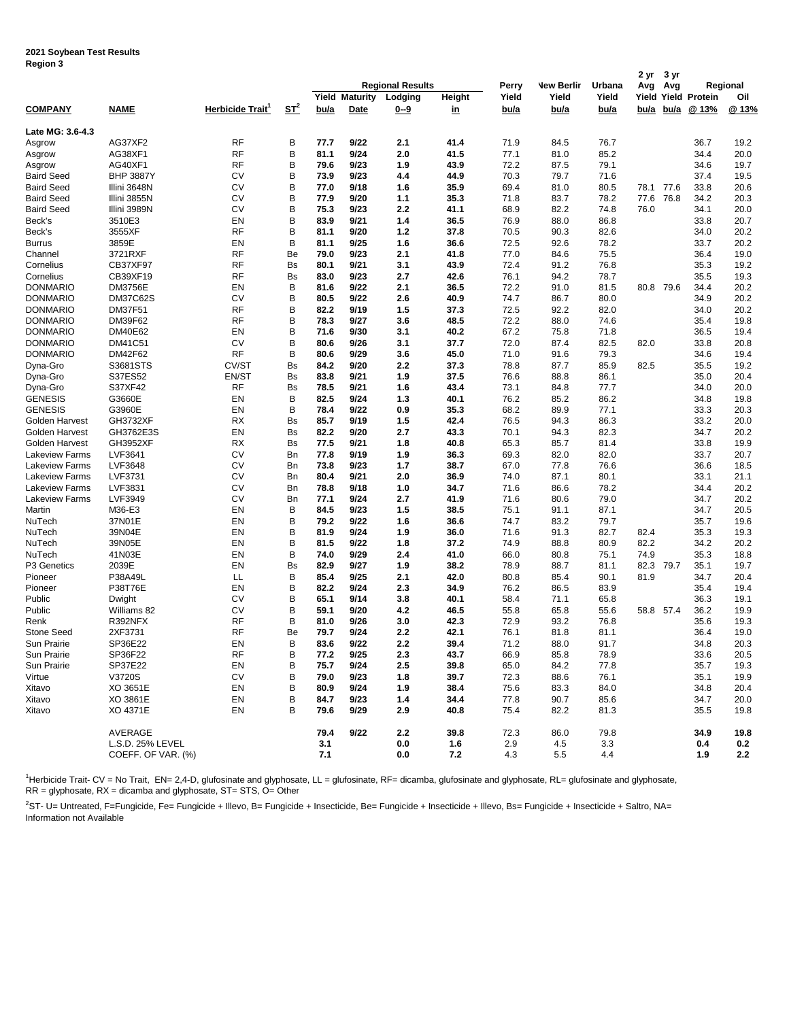| negiun J                                       |                      |                 |                    |              |                       |                         |              |              |                   |              | 2 yr | 3 yr      |                     |              |
|------------------------------------------------|----------------------|-----------------|--------------------|--------------|-----------------------|-------------------------|--------------|--------------|-------------------|--------------|------|-----------|---------------------|--------------|
|                                                |                      |                 |                    |              |                       | <b>Regional Results</b> |              | Perry        | <b>New Berlir</b> | Urbana       | Avg  | Avg       |                     | Regional     |
|                                                |                      |                 |                    |              | <b>Yield Maturity</b> | Lodging                 | Height       | Yield        | Yield             | Yield        |      |           | Yield Yield Protein | Oil          |
| <b>COMPANY</b>                                 | <b>NAME</b>          | Herbicide Trait | $S_{\text{L}}^{2}$ | bu/a         | Date                  | $0 - 9$                 | <u>in</u>    | <u>bu/a</u>  | bu/a              | bu/a         | bu/a | bu/a      | @ 13%               | @ 13%        |
| Late MG: 3.6-4.3                               |                      |                 |                    |              |                       |                         |              |              |                   |              |      |           |                     |              |
| Asgrow                                         | AG37XF2              | <b>RF</b>       | B                  | 77.7         | 9/22                  | 2.1                     | 41.4         | 71.9         | 84.5              | 76.7         |      |           | 36.7                | 19.2         |
| Asgrow                                         | AG38XF1              | <b>RF</b>       | B                  | 81.1         | 9/24                  | 2.0                     | 41.5         | 77.1         | 81.0              | 85.2         |      |           | 34.4                | 20.0         |
| Asgrow                                         | AG40XF1              | RF              | В                  | 79.6         | 9/23                  | 1.9                     | 43.9         | 72.2         | 87.5              | 79.1         |      |           | 34.6                | 19.7         |
| <b>Baird Seed</b>                              | <b>BHP 3887Y</b>     | CV              | B                  | 73.9         | 9/23                  | 4.4                     | 44.9         | 70.3         | 79.7              | 71.6         |      |           | 37.4                | 19.5         |
| <b>Baird Seed</b>                              | Illini 3648N         | <b>CV</b>       | B                  | 77.0         | 9/18                  | 1.6                     | 35.9         | 69.4         | 81.0              | 80.5         | 78.1 | 77.6      | 33.8                | 20.6         |
| <b>Baird Seed</b>                              | Illini 3855N         | <b>CV</b>       | B                  | 77.9         | 9/20                  | 1.1                     | 35.3         | 71.8         | 83.7              | 78.2         | 77.6 | 76.8      | 34.2                | 20.3         |
| <b>Baird Seed</b>                              | Illini 3989N         | CV              | B                  | 75.3         | 9/23                  | 2.2                     | 41.1         | 68.9         | 82.2              | 74.8         | 76.0 |           | 34.1                | 20.0         |
| Beck's                                         | 3510E3               | EN<br><b>RF</b> | В<br>B             | 83.9         | 9/21                  | 1.4                     | 36.5         | 76.9         | 88.0              | 86.8         |      |           | 33.8                | 20.7         |
| Beck's<br><b>Burrus</b>                        | 3555XF<br>3859E      | EN              | B                  | 81.1<br>81.1 | 9/20<br>9/25          | 1.2<br>1.6              | 37.8<br>36.6 | 70.5<br>72.5 | 90.3<br>92.6      | 82.6<br>78.2 |      |           | 34.0<br>33.7        | 20.2<br>20.2 |
| Channel                                        | 3721RXF              | <b>RF</b>       | Be                 | 79.0         | 9/23                  | 2.1                     | 41.8         | 77.0         | 84.6              | 75.5         |      |           | 36.4                | 19.0         |
| Cornelius                                      | <b>CB37XF97</b>      | RF              | Bs                 | 80.1         | 9/21                  | 3.1                     | 43.9         | 72.4         | 91.2              | 76.8         |      |           | 35.3                | 19.2         |
| Cornelius                                      | CB39XF19             | <b>RF</b>       | Bs                 | 83.0         | 9/23                  | 2.7                     | 42.6         | 76.1         | 94.2              | 78.7         |      |           | 35.5                | 19.3         |
| <b>DONMARIO</b>                                | <b>DM3756E</b>       | EN              | B                  | 81.6         | 9/22                  | 2.1                     | 36.5         | 72.2         | 91.0              | 81.5         | 80.8 | 79.6      | 34.4                | 20.2         |
| <b>DONMARIO</b>                                | <b>DM37C62S</b>      | CV              | В                  | 80.5         | 9/22                  | 2.6                     | 40.9         | 74.7         | 86.7              | 80.0         |      |           | 34.9                | 20.2         |
| <b>DONMARIO</b>                                | DM37F51              | <b>RF</b>       | В                  | 82.2         | 9/19                  | 1.5                     | 37.3         | 72.5         | 92.2              | 82.0         |      |           | 34.0                | 20.2         |
| <b>DONMARIO</b>                                | DM39F62              | RF              | В                  | 78.3         | 9/27                  | 3.6                     | 48.5         | 72.2         | 88.0              | 74.6         |      |           | 35.4                | 19.8         |
| <b>DONMARIO</b>                                | DM40E62              | EN              | B                  | 71.6         | 9/30                  | 3.1                     | 40.2         | 67.2         | 75.8              | 71.8         |      |           | 36.5                | 19.4         |
| <b>DONMARIO</b>                                | DM41C51              | <b>CV</b>       | В                  | 80.6         | 9/26                  | 3.1                     | 37.7         | 72.0         | 87.4              | 82.5         | 82.0 |           | 33.8                | 20.8         |
| <b>DONMARIO</b>                                | DM42F62              | <b>RF</b>       | B                  | 80.6         | 9/29                  | 3.6                     | 45.0         | 71.0         | 91.6              | 79.3         |      |           | 34.6                | 19.4         |
| Dyna-Gro                                       | S3681STS             | CV/ST           | Bs                 | 84.2         | 9/20                  | 2.2                     | 37.3         | 78.8         | 87.7              | 85.9         | 82.5 |           | 35.5                | 19.2         |
| Dyna-Gro                                       | S37ES52              | EN/ST           | Bs                 | 83.8         | 9/21                  | 1.9                     | 37.5         | 76.6         | 88.8              | 86.1         |      |           | 35.0                | 20.4         |
| Dyna-Gro                                       | S37XF42              | RF              | Bs                 | 78.5         | 9/21                  | 1.6                     | 43.4         | 73.1         | 84.8              | 77.7         |      |           | 34.0                | 20.0         |
| <b>GENESIS</b>                                 | G3660E               | EN              | в                  | 82.5         | 9/24                  | 1.3                     | 40.1         | 76.2         | 85.2              | 86.2         |      |           | 34.8                | 19.8         |
| <b>GENESIS</b>                                 | G3960E               | EN              | B                  | 78.4         | 9/22                  | 0.9                     | 35.3         | 68.2         | 89.9              | 77.1         |      |           | 33.3                | 20.3         |
| Golden Harvest                                 | GH3732XF             | <b>RX</b>       | <b>Bs</b>          | 85.7         | 9/19                  | 1.5                     | 42.4         | 76.5         | 94.3              | 86.3         |      |           | 33.2                | 20.0         |
| Golden Harvest                                 | GH3762E3S            | EN              | <b>Bs</b>          | 82.2         | 9/20                  | 2.7                     | 43.3         | 70.1         | 94.3              | 82.3         |      |           | 34.7                | 20.2         |
| Golden Harvest                                 | GH3952XF             | RX              | Bs                 | 77.5         | 9/21                  | 1.8                     | 40.8         | 65.3         | 85.7              | 81.4         |      |           | 33.8                | 19.9         |
| <b>Lakeview Farms</b><br><b>Lakeview Farms</b> | LVF3641<br>LVF3648   | CV<br>CV        | Bn<br>Bn           | 77.8<br>73.8 | 9/19<br>9/23          | 1.9<br>1.7              | 36.3<br>38.7 | 69.3<br>67.0 | 82.0<br>77.8      | 82.0<br>76.6 |      |           | 33.7<br>36.6        | 20.7<br>18.5 |
| Lakeview Farms                                 | LVF3731              | <b>CV</b>       | Bn                 | 80.4         | 9/21                  | 2.0                     | 36.9         | 74.0         | 87.1              | 80.1         |      |           | 33.1                | 21.1         |
| Lakeview Farms                                 | LVF3831              | <b>CV</b>       | Bn                 | 78.8         | 9/18                  | 1.0                     | 34.7         | 71.6         | 86.6              | 78.2         |      |           | 34.4                | 20.2         |
| <b>Lakeview Farms</b>                          | LVF3949              | CV              | Bn                 | 77.1         | 9/24                  | 2.7                     | 41.9         | 71.6         | 80.6              | 79.0         |      |           | 34.7                | 20.2         |
| Martin                                         | M36-E3               | EN              | в                  | 84.5         | 9/23                  | 1.5                     | 38.5         | 75.1         | 91.1              | 87.1         |      |           | 34.7                | 20.5         |
| NuTech                                         | 37N01E               | EN              | B                  | 79.2         | 9/22                  | 1.6                     | 36.6         | 74.7         | 83.2              | 79.7         |      |           | 35.7                | 19.6         |
| NuTech                                         | 39N04E               | EN              | B                  | 81.9         | 9/24                  | 1.9                     | 36.0         | 71.6         | 91.3              | 82.7         | 82.4 |           | 35.3                | 19.3         |
| NuTech                                         | 39N05E               | EN              | В                  | 81.5         | 9/22                  | 1.8                     | 37.2         | 74.9         | 88.8              | 80.9         | 82.2 |           | 34.2                | 20.2         |
| NuTech                                         | 41N03E               | EN              | B                  | 74.0         | 9/29                  | 2.4                     | 41.0         | 66.0         | 80.8              | 75.1         | 74.9 |           | 35.3                | 18.8         |
| P3 Genetics                                    | 2039E                | EN              | Bs                 | 82.9         | 9/27                  | 1.9                     | 38.2         | 78.9         | 88.7              | 81.1         | 82.3 | 79.7      | 35.1                | 19.7         |
| Pioneer                                        | P38A49L              | LL              | В                  | 85.4         | 9/25                  | 2.1                     | 42.0         | 80.8         | 85.4              | 90.1         | 81.9 |           | 34.7                | 20.4         |
| Pioneer                                        | <b>P38T76E</b>       | EN              | В                  | 82.2         | 9/24                  | 2.3                     | 34.9         | 76.2         | 86.5              | 83.9         |      |           | 35.4                | 19.4         |
| Public                                         | Dwight               | CV              | В                  | 65.1         | 9/14                  | 3.8                     | 40.1         | 58.4         | 71.1              | 65.8         |      |           | 36.3                | 19.1         |
| Public                                         | Williams 82          | CV              | B                  | 59.1         | 9/20                  | 4.2                     | 46.5         | 55.8         | 65.8              | 55.6         |      | 58.8 57.4 | 36.2                | 19.9         |
| Renk                                           | R392NFX              | <b>RF</b>       | В                  | 81.0         | 9/26                  | 3.0                     | 42.3         | 72.9         | 93.2              | 76.8         |      |           | 35.6                | 19.3         |
| Stone Seed                                     | 2XF3731              | RF              | Be                 | 79.7         | 9/24                  | 2.2                     | 42.1         | 76.1         | 81.8              | 81.1         |      |           | 36.4                | 19.0         |
| Sun Prairie                                    | SP36E22              | EN              | В                  | 83.6         | 9/22                  | 2.2                     | 39.4         | 71.2         | 88.0              | 91.7         |      |           | 34.8                | 20.3         |
| Sun Prairie                                    | SP36F22              | <b>RF</b>       | В                  | 77.2         | 9/25                  | 2.3                     | 43.7         | 66.9         | 85.8              | 78.9         |      |           | 33.6                | 20.5         |
| Sun Prairie                                    | SP37E22              | EN              | В                  | 75.7         | 9/24                  | 2.5                     | 39.8         | 65.0         | 84.2              | 77.8         |      |           | 35.7                | 19.3         |
| Virtue                                         | V3720S               | CV              | В                  | 79.0         | 9/23                  | 1.8                     | 39.7         | 72.3         | 88.6              | 76.1         |      |           | 35.1                | 19.9         |
| Xitavo                                         | XO 3651E             | EN              | в                  | 80.9         | 9/24                  | 1.9                     | 38.4         | 75.6         | 83.3              | 84.0         |      |           | 34.8                | 20.4         |
| Xitavo<br>Xitavo                               | XO 3861E<br>XO 4371E | EN<br>EN        | В<br>В             | 84.7<br>79.6 | 9/23<br>9/29          | 1.4<br>2.9              | 34.4<br>40.8 | 77.8<br>75.4 | 90.7<br>82.2      | 85.6<br>81.3 |      |           | 34.7<br>35.5        | 20.0<br>19.8 |
|                                                |                      |                 |                    |              |                       |                         |              |              |                   |              |      |           |                     |              |
|                                                | AVERAGE              |                 |                    | 79.4         | 9/22                  | 2.2                     | 39.8         | 72.3         | 86.0              | 79.8         |      |           | 34.9                | 19.8         |
|                                                | L.S.D. 25% LEVEL     |                 |                    | 3.1          |                       | 0.0                     | 1.6          | 2.9          | 4.5               | 3.3          |      |           | 0.4                 | 0.2          |
|                                                | COEFF. OF VAR. (%)   |                 |                    | 7.1          |                       | 0.0                     | 7.2          | 4.3          | 5.5               | 4.4          |      |           | 1.9                 | 2.2          |

<sup>1</sup>Herbicide Trait- CV = No Trait, EN= 2,4-D, glufosinate and glyphosate, LL = glufosinate, RF= dicamba, glufosinate and glyphosate, RL= glufosinate and glyphosate, RR = glyphosate, RX = dicamba and glyphosate, ST= STS, O= Other

 $^{2}$ ST- U= Untreated, F=Fungicide, Fe= Fungicide + Illevo, B= Fungicide + Insecticide, Be= Fungicide + Insecticide + Illevo, Bs= Fungicide + Insecticide + Saltro, NA= Information not Available